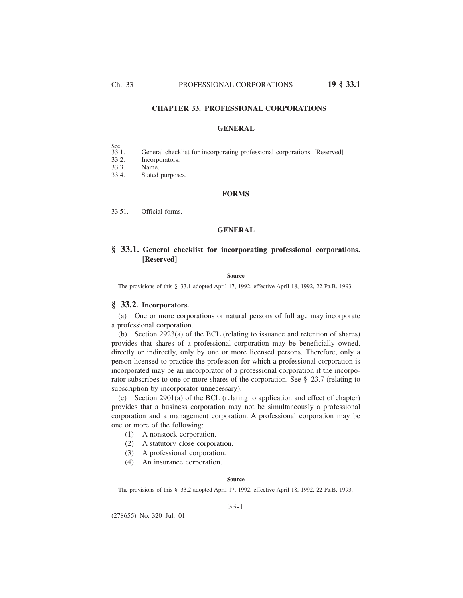# **CHAPTER 33. PROFESSIONAL CORPORATIONS**

### **GENERAL**

- Sec.<br>33.1.
- General checklist for incorporating professional corporations. [Reserved]
- 33.2. Incorporators.<br>33.3. Name.
- Name.
- 33.4. Stated purposes.

### **FORMS**

33.51. Official forms.

# **GENERAL**

# **§ 33.1. General checklist for incorporating professional corporations. [Reserved]**

#### **Source**

The provisions of this § 33.1 adopted April 17, 1992, effective April 18, 1992, 22 Pa.B. 1993.

### **§ 33.2. Incorporators.**

(a) One or more corporations or natural persons of full age may incorporate a professional corporation.

(b) Section 2923(a) of the BCL (relating to issuance and retention of shares) provides that shares of a professional corporation may be beneficially owned, directly or indirectly, only by one or more licensed persons. Therefore, only a person licensed to practice the profession for which a professional corporation is incorporated may be an incorporator of a professional corporation if the incorporator subscribes to one or more shares of the corporation. See § 23.7 (relating to subscription by incorporator unnecessary).

(c) Section 2901(a) of the BCL (relating to application and effect of chapter) provides that a business corporation may not be simultaneously a professional corporation and a management corporation. A professional corporation may be one or more of the following:

- (1) A nonstock corporation.
- (2) A statutory close corporation.
- (3) A professional corporation.
- (4) An insurance corporation.

#### **Source**

The provisions of this § 33.2 adopted April 17, 1992, effective April 18, 1992, 22 Pa.B. 1993.

### 33-1

(278655) No. 320 Jul. 01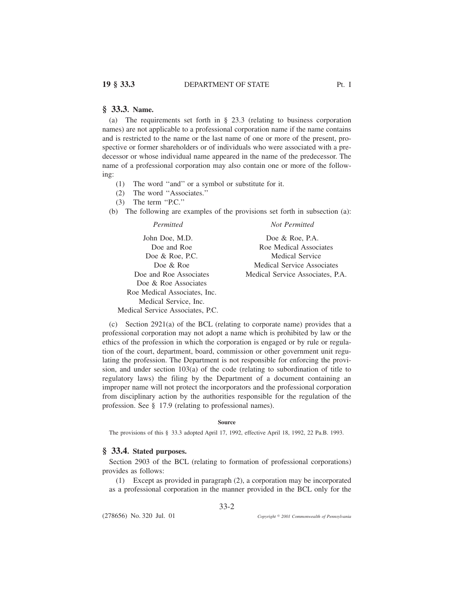(a) The requirements set forth in § 23.3 (relating to business corporation names) are not applicable to a professional corporation name if the name contains and is restricted to the name or the last name of one or more of the present, prospective or former shareholders or of individuals who were associated with a predecessor or whose individual name appeared in the name of the predecessor. The name of a professional corporation may also contain one or more of the following:

- (1) The word ''and'' or a symbol or substitute for it.
- (2) The word ''Associates.''
- (3) The term ''P.C.''
- (b) The following are examples of the provisions set forth in subsection (a):

| Permitted                        | Not Permitted                    |
|----------------------------------|----------------------------------|
| John Doe, M.D.                   | Doe & Roe, P.A.                  |
| Doe and Roe                      | Roe Medical Associates           |
| Doe $\&$ Roe, P.C.               | Medical Service                  |
| Doe & Roe                        | Medical Service Associates       |
| Doe and Roe Associates           | Medical Service Associates, P.A. |
| Doe & Roe Associates             |                                  |
| Roe Medical Associates, Inc.     |                                  |
| Medical Service, Inc.            |                                  |
| Medical Service Associates, P.C. |                                  |

(c) Section 2921(a) of the BCL (relating to corporate name) provides that a professional corporation may not adopt a name which is prohibited by law or the ethics of the profession in which the corporation is engaged or by rule or regulation of the court, department, board, commission or other government unit regulating the profession. The Department is not responsible for enforcing the provision, and under section 103(a) of the code (relating to subordination of title to regulatory laws) the filing by the Department of a document containing an improper name will not protect the incorporators and the professional corporation from disciplinary action by the authorities responsible for the regulation of the profession. See § 17.9 (relating to professional names).

#### **Source**

The provisions of this § 33.3 adopted April 17, 1992, effective April 18, 1992, 22 Pa.B. 1993.

# **§ 33.4. Stated purposes.**

Section 2903 of the BCL (relating to formation of professional corporations) provides as follows:

33-2

(1) Except as provided in paragraph (2), a corporation may be incorporated as a professional corporation in the manner provided in the BCL only for the

(278656) No. 320 Jul. 01

*2001 Commonwealth of Pennsylvania*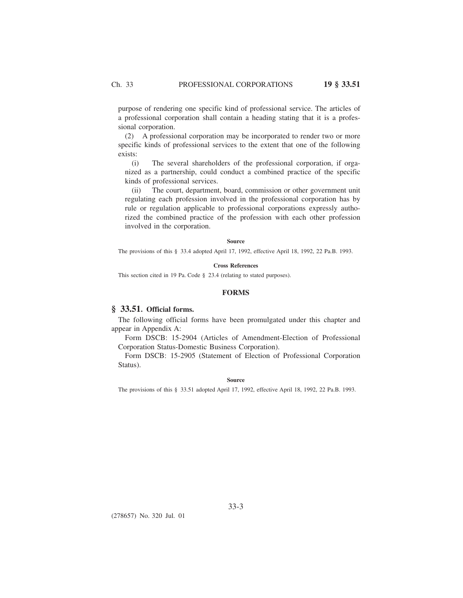purpose of rendering one specific kind of professional service. The articles of a professional corporation shall contain a heading stating that it is a professional corporation.

(2) A professional corporation may be incorporated to render two or more specific kinds of professional services to the extent that one of the following exists:

(i) The several shareholders of the professional corporation, if organized as a partnership, could conduct a combined practice of the specific kinds of professional services.

(ii) The court, department, board, commission or other government unit regulating each profession involved in the professional corporation has by rule or regulation applicable to professional corporations expressly authorized the combined practice of the profession with each other profession involved in the corporation.

#### **Source**

The provisions of this § 33.4 adopted April 17, 1992, effective April 18, 1992, 22 Pa.B. 1993.

### **Cross References**

This section cited in 19 Pa. Code § 23.4 (relating to stated purposes).

### **FORMS**

# **§ 33.51. Official forms.**

The following official forms have been promulgated under this chapter and appear in Appendix A:

Form DSCB: 15-2904 (Articles of Amendment-Election of Professional Corporation Status-Domestic Business Corporation).

Form DSCB: 15-2905 (Statement of Election of Professional Corporation Status).

#### **Source**

The provisions of this § 33.51 adopted April 17, 1992, effective April 18, 1992, 22 Pa.B. 1993.